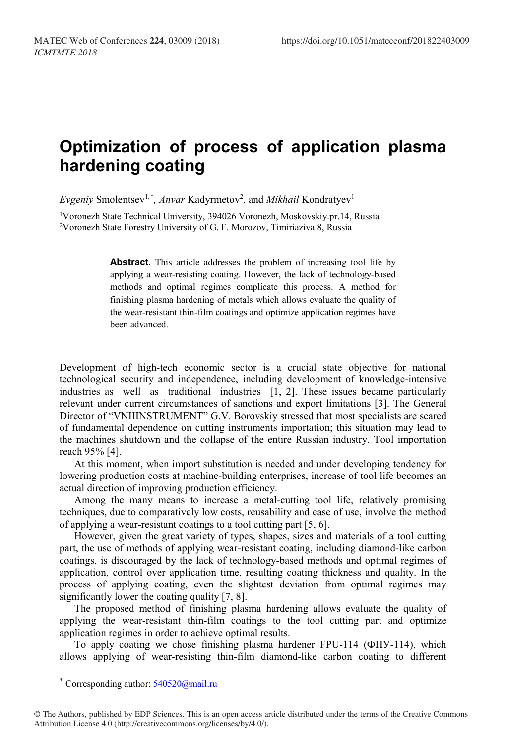## **Optimization of process of application plasma hardening coating**

*Evgeniy* Smolentsev<sup>1,[\\*](#page-0-0)</sup>, Anvar Kadyrmetov<sup>2</sup>, and *Mikhail* Kondratyev<sup>1</sup>

1Voronezh State Technical University, 394026 Voronezh, Moskovskiy.pr.14, Russia 2Voronezh State Forestry University of G. F. Morozov, Timiriaziva 8, Russia

> Abstract. This article addresses the problem of increasing tool life by applying a wear-resisting coating. However, the lack of technology-based methods and optimal regimes complicate this process. A method for finishing plasma hardening of metals which allows evaluate the quality of the wear-resistant thin-film coatings and optimize application regimes have been advanced.

Development of high-tech economic sector is a crucial state objective for national technological security and independence, including development of knowledge-intensive industries as well as traditional industries [1, 2]. These issues became particularly relevant under current circumstances of sanctions and export limitations [3]. The General Director of "VNIIINSTRUMENT" G.V. Borovskiy stressed that most specialists are scared of fundamental dependence on cutting instruments importation; this situation may lead to the machines shutdown and the collapse of the entire Russian industry. Tool importation reach 95% [4].

At this moment, when import substitution is needed and under developing tendency for lowering production costs at machine-building enterprises, increase of tool life becomes an actual direction of improving production efficiency.

Among the many means to increase a metal-cutting tool life, relatively promising techniques, due to comparatively low costs, reusability and ease of use, involve the method of applying a wear-resistant coatings to a tool cutting part [5, 6].

However, given the great variety of types, shapes, sizes and materials of a tool cutting part, the use of methods of applying wear-resistant coating, including diamond-like carbon coatings, is discouraged by the lack of technology-based methods and optimal regimes of application, control over application time, resulting coating thickness and quality. In the process of applying coating, even the slightest deviation from optimal regimes may significantly lower the coating quality [7, 8].

The proposed method of finishing plasma hardening allows evaluate the quality of applying the wear-resistant thin-film coatings to the tool cutting part and optimize application regimes in order to achieve optimal results.

To apply coating we chose finishing plasma hardener FPU-114 (ФПУ-114), which allows applying of wear-resisting thin-film diamond-like carbon coating to different

l

<span id="page-0-0"></span><sup>\*</sup> Corresponding author:  $540520@$ mail.ru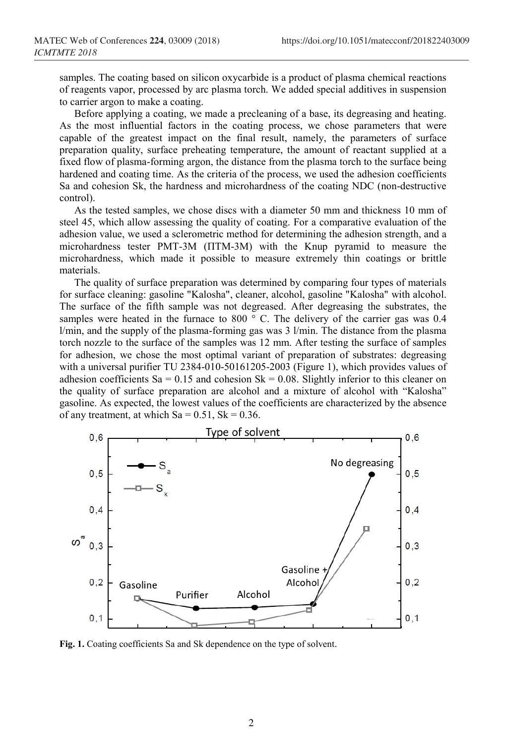samples. The coating based on silicon oxycarbide is a product of plasma chemical reactions of reagents vapor, processed by arc plasma torch. We added special additives in suspension to carrier argon to make a coating.

Before applying a coating, we made a precleaning of a base, its degreasing and heating. As the most influential factors in the coating process, we chose parameters that were capable of the greatest impact on the final result, namely, the parameters of surface preparation quality, surface preheating temperature, the amount of reactant supplied at a fixed flow of plasma-forming argon, the distance from the plasma torch to the surface being hardened and coating time. As the criteria of the process, we used the adhesion coefficients Sa and cohesion Sk, the hardness and microhardness of the coating NDC (non-destructive control).

As the tested samples, we chose discs with a diameter 50 mm and thickness 10 mm of steel 45, which allow assessing the quality of coating. For a comparative evaluation of the adhesion value, we used a sclerometric method for determining the adhesion strength, and a microhardness tester PMT-3M (ПТМ-3М) with the Knup pyramid to measure the microhardness, which made it possible to measure extremely thin coatings or brittle materials.

The quality of surface preparation was determined by comparing four types of materials for surface cleaning: gasoline "Kalosha", cleaner, alcohol, gasoline "Kalosha" with alcohol. The surface of the fifth sample was not degreased. After degreasing the substrates, the samples were heated in the furnace to 800  $\degree$  C. The delivery of the carrier gas was 0.4  $l/min$ , and the supply of the plasma-forming gas was 3  $l/min$ . The distance from the plasma torch nozzle to the surface of the samples was 12 mm. After testing the surface of samples for adhesion, we chose the most optimal variant of preparation of substrates: degreasing with a universal purifier TU 2384-010-50161205-2003 (Figure 1), which provides values of adhesion coefficients Sa = 0.15 and cohesion Sk = 0.08. Slightly inferior to this cleaner on the quality of surface preparation are alcohol and a mixture of alcohol with "Kalosha" gasoline. As expected, the lowest values of the coefficients are characterized by the absence of any treatment, at which  $Sa = 0.51$ ,  $Sk = 0.36$ .



**Fig. 1.** Coating coefficients Sa and Sk dependence on the type of solvent.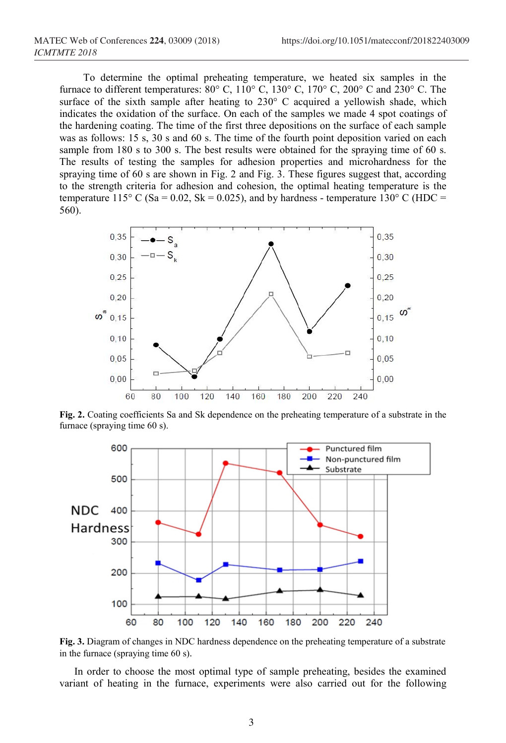To determine the optimal preheating temperature, we heated six samples in the furnace to different temperatures:  $80^{\circ}$  C,  $110^{\circ}$  C,  $130^{\circ}$  C,  $170^{\circ}$  C,  $200^{\circ}$  C and  $230^{\circ}$  C. The surface of the sixth sample after heating to 230° C acquired a yellowish shade, which indicates the oxidation of the surface. On each of the samples we made 4 spot coatings of the hardening coating. The time of the first three depositions on the surface of each sample was as follows: 15 s, 30 s and 60 s. The time of the fourth point deposition varied on each sample from 180 s to 300 s. The best results were obtained for the spraying time of 60 s. The results of testing the samples for adhesion properties and microhardness for the spraying time of 60 s are shown in Fig. 2 and Fig. 3. These figures suggest that, according to the strength criteria for adhesion and cohesion, the optimal heating temperature is the temperature 115° C (Sa = 0.02, Sk = 0.025), and by hardness - temperature 130° C (HDC = 560).



**Fig. 2.** Coating coefficients Sa and Sk dependence on the preheating temperature of a substrate in the furnace (spraying time 60 s).



**Fig. 3.** Diagram of changes in NDC hardness dependence on the preheating temperature of a substrate in the furnace (spraying time 60 s).

In order to choose the most optimal type of sample preheating, besides the examined variant of heating in the furnace, experiments were also carried out for the following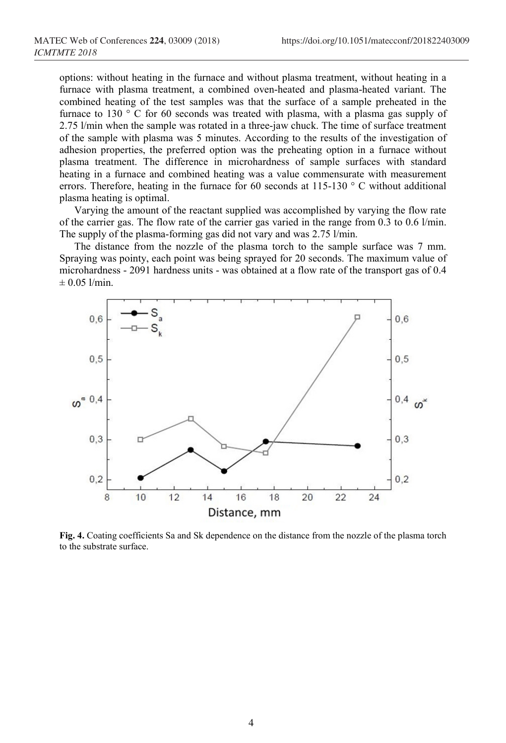options: without heating in the furnace and without plasma treatment, without heating in a furnace with plasma treatment, a combined oven-heated and plasma-heated variant. The combined heating of the test samples was that the surface of a sample preheated in the furnace to 130 ° C for 60 seconds was treated with plasma, with a plasma gas supply of 2.75 l/min when the sample was rotated in a three-jaw chuck. The time of surface treatment of the sample with plasma was 5 minutes. According to the results of the investigation of adhesion properties, the preferred option was the preheating option in a furnace without plasma treatment. The difference in microhardness of sample surfaces with standard heating in a furnace and combined heating was a value commensurate with measurement errors. Therefore, heating in the furnace for 60 seconds at 115-130  $\degree$  C without additional plasma heating is optimal.

Varying the amount of the reactant supplied was accomplished by varying the flow rate of the carrier gas. The flow rate of the carrier gas varied in the range from 0.3 to 0.6 l/min. The supply of the plasma-forming gas did not vary and was 2.75 l/min.

The distance from the nozzle of the plasma torch to the sample surface was 7 mm. Spraying was pointy, each point was being sprayed for 20 seconds. The maximum value of microhardness - 2091 hardness units - was obtained at a flow rate of the transport gas of 0.4  $± 0.05$  l/min.



**Fig. 4.** Coating coefficients Sa and Sk dependence on the distance from the nozzle of the plasma torch to the substrate surface.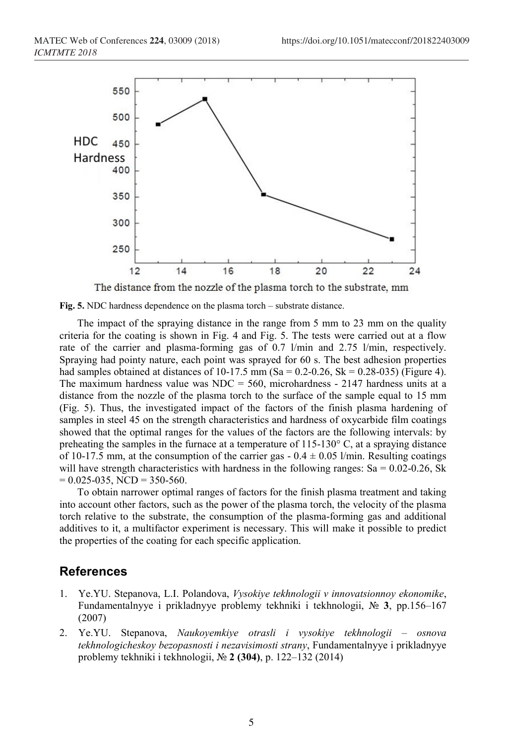

The distance from the nozzle of the plasma torch to the substrate, mm



The impact of the spraying distance in the range from 5 mm to 23 mm on the quality criteria for the coating is shown in Fig. 4 and Fig. 5. The tests were carried out at a flow rate of the carrier and plasma-forming gas of 0.7 l/min and 2.75 l/min, respectively. Spraying had pointy nature, each point was sprayed for 60 s. The best adhesion properties had samples obtained at distances of 10-17.5 mm (Sa =  $0.2$ - $0.26$ , Sk =  $0.28$ - $0.35$ ) (Figure 4). The maximum hardness value was  $NDC = 560$ , microhardness - 2147 hardness units at a distance from the nozzle of the plasma torch to the surface of the sample equal to 15 mm (Fig. 5). Thus, the investigated impact of the factors of the finish plasma hardening of samples in steel 45 on the strength characteristics and hardness of oxycarbide film coatings showed that the optimal ranges for the values of the factors are the following intervals: by preheating the samples in the furnace at a temperature of 115-130° C, at a spraying distance of 10-17.5 mm, at the consumption of the carrier gas  $-0.4 \pm 0.05$  l/min. Resulting coatings will have strength characteristics with hardness in the following ranges: Sa =  $0.02$ -0.26, Sk  $= 0.025 - 035$ , NCD  $= 350 - 560$ .

To obtain narrower optimal ranges of factors for the finish plasma treatment and taking into account other factors, such as the power of the plasma torch, the velocity of the plasma torch relative to the substrate, the consumption of the plasma-forming gas and additional additives to it, a multifactor experiment is necessary. This will make it possible to predict the properties of the coating for each specific application.

## **References**

- 1. Ye.YU. Stepanova, L.I. Polandova, *Vysokiye tekhnologii v innovatsionnoy ekonomike*, Fundamentalnyye i prikladnyye problemy tekhniki i tekhnologii, № **3**, pp.156–167 (2007)
- 2. Ye.YU. Stepanova, *Naukoyemkiye otrasli i vysokiye tekhnologii – osnova tekhnologicheskoy bezopasnosti i nezavisimosti strany*, Fundamentalnyye i prikladnyye problemy tekhniki i tekhnologii, № **2 (304)**, p. 122–132 (2014)